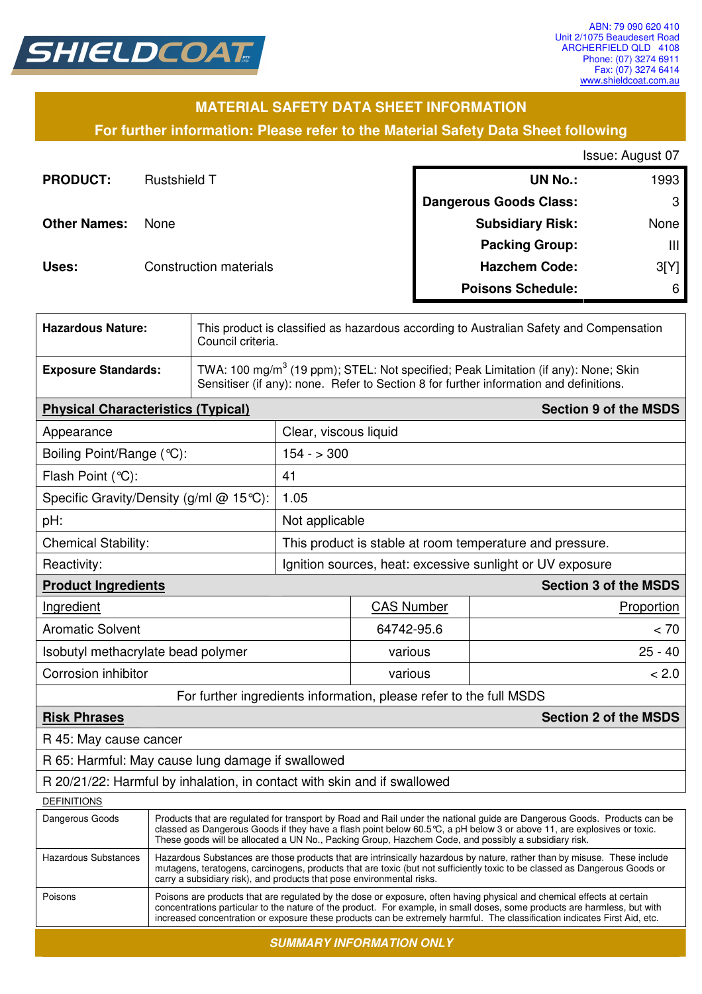

## **MATERIAL SAFETY DATA SHEET INFORMATION**

**For further information: Please refer to the Material Safety Data Sheet following**

Issue: August 07

| <b>PRODUCT:</b>     | <b>Rustshield T</b>           | <b>UN No.:</b>                | 1993 |
|---------------------|-------------------------------|-------------------------------|------|
|                     |                               | <b>Dangerous Goods Class:</b> | 3    |
| <b>Other Names:</b> | None                          | <b>Subsidiary Risk:</b>       | None |
|                     |                               | <b>Packing Group:</b>         | Ш    |
| Uses:               | <b>Construction materials</b> | <b>Hazchem Code:</b>          | 3[Y] |
|                     |                               | <b>Poisons Schedule:</b>      | 6    |

| <b>Hazardous Nature:</b>                                                 |                                                                                                                                                                                                                                                                                                                                                                                  | This product is classified as hazardous according to Australian Safety and Compensation<br>Council criteria.                                                                             |                                                           |                       |                              |  |
|--------------------------------------------------------------------------|----------------------------------------------------------------------------------------------------------------------------------------------------------------------------------------------------------------------------------------------------------------------------------------------------------------------------------------------------------------------------------|------------------------------------------------------------------------------------------------------------------------------------------------------------------------------------------|-----------------------------------------------------------|-----------------------|------------------------------|--|
| <b>Exposure Standards:</b>                                               |                                                                                                                                                                                                                                                                                                                                                                                  | TWA: 100 mg/m <sup>3</sup> (19 ppm); STEL: Not specified; Peak Limitation (if any): None; Skin<br>Sensitiser (if any): none. Refer to Section 8 for further information and definitions. |                                                           |                       |                              |  |
| <b>Physical Characteristics (Typical)</b>                                |                                                                                                                                                                                                                                                                                                                                                                                  |                                                                                                                                                                                          |                                                           |                       | <b>Section 9 of the MSDS</b> |  |
| Appearance                                                               |                                                                                                                                                                                                                                                                                                                                                                                  |                                                                                                                                                                                          |                                                           | Clear, viscous liquid |                              |  |
| Boiling Point/Range (°C):                                                |                                                                                                                                                                                                                                                                                                                                                                                  |                                                                                                                                                                                          | $154 - 300$                                               |                       |                              |  |
| Flash Point (°C):                                                        |                                                                                                                                                                                                                                                                                                                                                                                  |                                                                                                                                                                                          | 41                                                        |                       |                              |  |
| Specific Gravity/Density (g/ml @ 15°C):                                  |                                                                                                                                                                                                                                                                                                                                                                                  |                                                                                                                                                                                          | 1.05                                                      |                       |                              |  |
| pH:                                                                      |                                                                                                                                                                                                                                                                                                                                                                                  | Not applicable                                                                                                                                                                           |                                                           |                       |                              |  |
| <b>Chemical Stability:</b>                                               |                                                                                                                                                                                                                                                                                                                                                                                  | This product is stable at room temperature and pressure.                                                                                                                                 |                                                           |                       |                              |  |
| Reactivity:                                                              |                                                                                                                                                                                                                                                                                                                                                                                  |                                                                                                                                                                                          | Ignition sources, heat: excessive sunlight or UV exposure |                       |                              |  |
| <b>Product Ingredients</b>                                               |                                                                                                                                                                                                                                                                                                                                                                                  |                                                                                                                                                                                          |                                                           |                       | <b>Section 3 of the MSDS</b> |  |
| Ingredient                                                               |                                                                                                                                                                                                                                                                                                                                                                                  |                                                                                                                                                                                          |                                                           | <b>CAS Number</b>     | Proportion                   |  |
| <b>Aromatic Solvent</b>                                                  |                                                                                                                                                                                                                                                                                                                                                                                  |                                                                                                                                                                                          |                                                           | 64742-95.6            | < 70                         |  |
| Isobutyl methacrylate bead polymer                                       |                                                                                                                                                                                                                                                                                                                                                                                  |                                                                                                                                                                                          |                                                           | various               | $25 - 40$                    |  |
| Corrosion inhibitor                                                      |                                                                                                                                                                                                                                                                                                                                                                                  |                                                                                                                                                                                          |                                                           | various               | < 2.0                        |  |
| For further ingredients information, please refer to the full MSDS       |                                                                                                                                                                                                                                                                                                                                                                                  |                                                                                                                                                                                          |                                                           |                       |                              |  |
| <b>Risk Phrases</b>                                                      |                                                                                                                                                                                                                                                                                                                                                                                  |                                                                                                                                                                                          |                                                           |                       | <b>Section 2 of the MSDS</b> |  |
| R 45: May cause cancer                                                   |                                                                                                                                                                                                                                                                                                                                                                                  |                                                                                                                                                                                          |                                                           |                       |                              |  |
| R 65: Harmful: May cause lung damage if swallowed                        |                                                                                                                                                                                                                                                                                                                                                                                  |                                                                                                                                                                                          |                                                           |                       |                              |  |
| R 20/21/22: Harmful by inhalation, in contact with skin and if swallowed |                                                                                                                                                                                                                                                                                                                                                                                  |                                                                                                                                                                                          |                                                           |                       |                              |  |
| <b>DEFINITIONS</b>                                                       |                                                                                                                                                                                                                                                                                                                                                                                  |                                                                                                                                                                                          |                                                           |                       |                              |  |
| Dangerous Goods                                                          | Products that are regulated for transport by Road and Rail under the national guide are Dangerous Goods. Products can be<br>classed as Dangerous Goods if they have a flash point below 60.5°C, a pH below 3 or above 11, are explosives or toxic.<br>These goods will be allocated a UN No., Packing Group, Hazchem Code, and possibly a subsidiary risk.                       |                                                                                                                                                                                          |                                                           |                       |                              |  |
| <b>Hazardous Substances</b>                                              | Hazardous Substances are those products that are intrinsically hazardous by nature, rather than by misuse. These include<br>mutagens, teratogens, carcinogens, products that are toxic (but not sufficiently toxic to be classed as Dangerous Goods or<br>carry a subsidiary risk), and products that pose environmental risks.                                                  |                                                                                                                                                                                          |                                                           |                       |                              |  |
| Poisons                                                                  | Poisons are products that are regulated by the dose or exposure, often having physical and chemical effects at certain<br>concentrations particular to the nature of the product. For example, in small doses, some products are harmless, but with<br>increased concentration or exposure these products can be extremely harmful. The classification indicates First Aid, etc. |                                                                                                                                                                                          |                                                           |                       |                              |  |

**SUMMARY INFORMATION ONLY**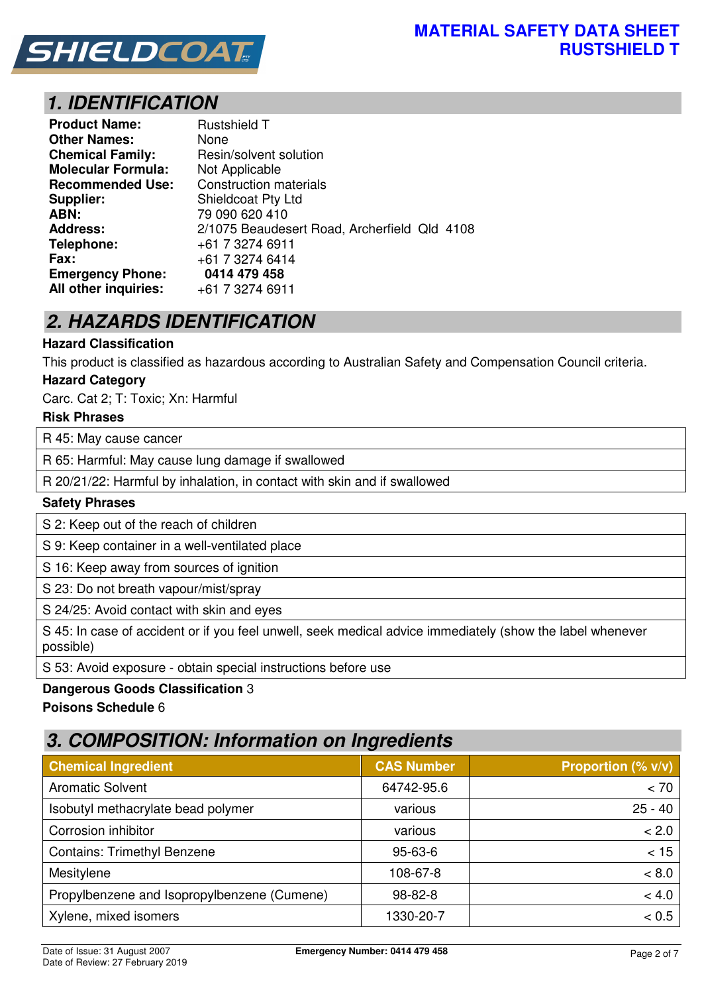

# **1. IDENTIFICATION**

| <b>Product Name:</b>      | <b>Rustshield T</b>                          |
|---------------------------|----------------------------------------------|
| <b>Other Names:</b>       | None                                         |
| <b>Chemical Family:</b>   | Resin/solvent solution                       |
| <b>Molecular Formula:</b> | Not Applicable                               |
| <b>Recommended Use:</b>   | <b>Construction materials</b>                |
| Supplier:                 | <b>Shieldcoat Pty Ltd</b>                    |
| ABN:                      | 79 090 620 410                               |
| <b>Address:</b>           | 2/1075 Beaudesert Road, Archerfield Qld 4108 |
| Telephone:                | +61 7 3274 6911                              |
| <b>Fax:</b>               | +61 7 3274 6414                              |
| <b>Emergency Phone:</b>   | 0414 479 458                                 |
| All other inquiries:      | +61 7 3274 6911                              |

# **2. HAZARDS IDENTIFICATION**

### **Hazard Classification**

This product is classified as hazardous according to Australian Safety and Compensation Council criteria.

#### **Hazard Category**

Carc. Cat 2; T: Toxic; Xn: Harmful

#### **Risk Phrases**

R 45: May cause cancer

R 65: Harmful: May cause lung damage if swallowed

R 20/21/22: Harmful by inhalation, in contact with skin and if swallowed

#### **Safety Phrases**

S 2: Keep out of the reach of children

S 9: Keep container in a well-ventilated place

S 16: Keep away from sources of ignition

S 23: Do not breath vapour/mist/spray

S 24/25: Avoid contact with skin and eyes

S 45: In case of accident or if you feel unwell, seek medical advice immediately (show the label whenever possible)

S 53: Avoid exposure - obtain special instructions before use

#### **Dangerous Goods Classification** 3

#### **Poisons Schedule** 6

## **3. COMPOSITION: Information on Ingredients**

| <b>Chemical Ingredient</b>                  | <b>CAS Number</b> | Proportion (% v/v) |
|---------------------------------------------|-------------------|--------------------|
| <b>Aromatic Solvent</b>                     | 64742-95.6        | < 70               |
| Isobutyl methacrylate bead polymer          | various           | $25 - 40$          |
| Corrosion inhibitor                         | various           | < 2.0              |
| <b>Contains: Trimethyl Benzene</b>          | $95 - 63 - 6$     | < 15               |
| Mesitylene                                  | 108-67-8          | ~< 8.0             |
| Propylbenzene and Isopropylbenzene (Cumene) | $98 - 82 - 8$     | < 4.0              |
| Xylene, mixed isomers                       | 1330-20-7         | < 0.5              |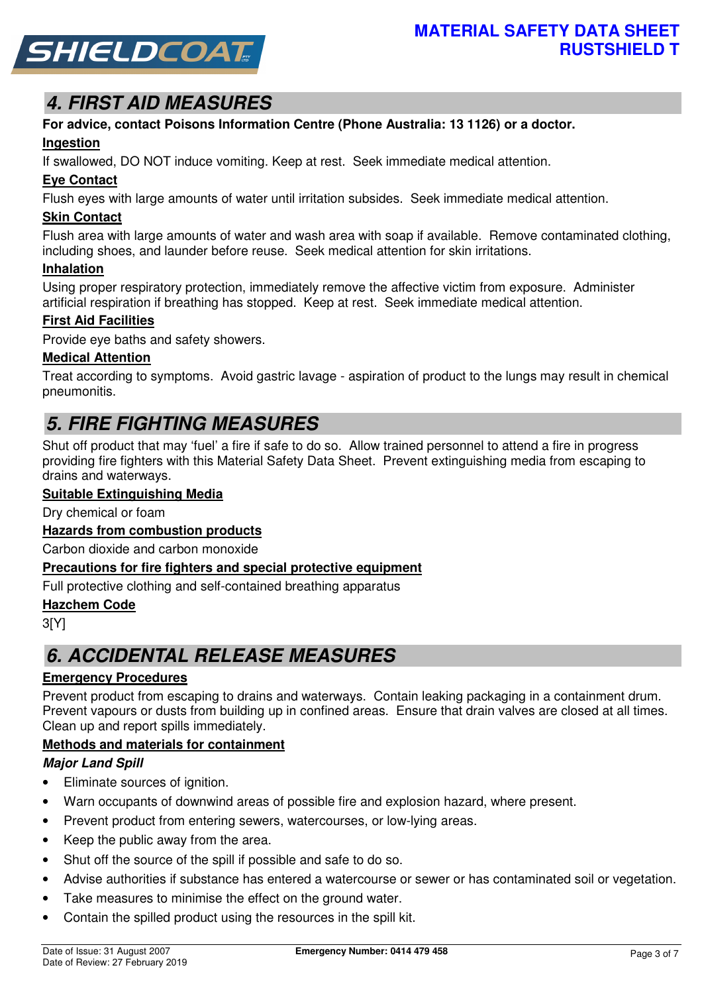

# **4. FIRST AID MEASURES**

# **For advice, contact Poisons Information Centre (Phone Australia: 13 1126) or a doctor.**

## **Ingestion**

If swallowed, DO NOT induce vomiting. Keep at rest. Seek immediate medical attention.

## **Eye Contact**

Flush eyes with large amounts of water until irritation subsides. Seek immediate medical attention.

## **Skin Contact**

Flush area with large amounts of water and wash area with soap if available. Remove contaminated clothing, including shoes, and launder before reuse. Seek medical attention for skin irritations.

#### **Inhalation**

Using proper respiratory protection, immediately remove the affective victim from exposure. Administer artificial respiration if breathing has stopped. Keep at rest. Seek immediate medical attention.

### **First Aid Facilities**

Provide eye baths and safety showers.

### **Medical Attention**

Treat according to symptoms. Avoid gastric lavage - aspiration of product to the lungs may result in chemical pneumonitis.

## **5. FIRE FIGHTING MEASURES**

Shut off product that may 'fuel' a fire if safe to do so. Allow trained personnel to attend a fire in progress providing fire fighters with this Material Safety Data Sheet. Prevent extinguishing media from escaping to drains and waterways.

#### **Suitable Extinguishing Media**

Dry chemical or foam

## **Hazards from combustion products**

Carbon dioxide and carbon monoxide

#### **Precautions for fire fighters and special protective equipment**

Full protective clothing and self-contained breathing apparatus

#### **Hazchem Code**

3[Y]

## **6. ACCIDENTAL RELEASE MEASURES**

## **Emergency Procedures**

Prevent product from escaping to drains and waterways. Contain leaking packaging in a containment drum. Prevent vapours or dusts from building up in confined areas. Ensure that drain valves are closed at all times. Clean up and report spills immediately.

### **Methods and materials for containment**

### **Major Land Spill**

- Eliminate sources of ignition.
- Warn occupants of downwind areas of possible fire and explosion hazard, where present.
- Prevent product from entering sewers, watercourses, or low-lying areas.
- Keep the public away from the area.
- Shut off the source of the spill if possible and safe to do so.
- Advise authorities if substance has entered a watercourse or sewer or has contaminated soil or vegetation.
- Take measures to minimise the effect on the ground water.
- Contain the spilled product using the resources in the spill kit.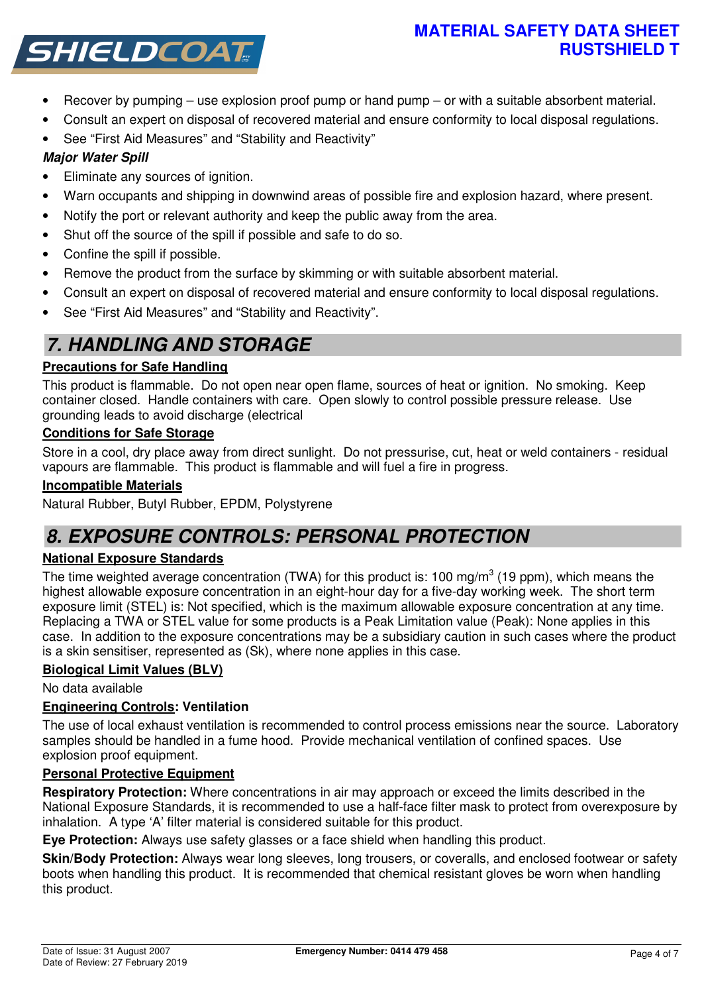## **MATERIAL SAFETY DATA SHEET RUSTSHIELD T**



- Recover by pumping use explosion proof pump or hand pump or with a suitable absorbent material.
- Consult an expert on disposal of recovered material and ensure conformity to local disposal regulations.
- See "First Aid Measures" and "Stability and Reactivity"

## **Major Water Spill**

- Eliminate any sources of ignition.
- Warn occupants and shipping in downwind areas of possible fire and explosion hazard, where present.
- Notify the port or relevant authority and keep the public away from the area.
- Shut off the source of the spill if possible and safe to do so.
- Confine the spill if possible.
- Remove the product from the surface by skimming or with suitable absorbent material.
- Consult an expert on disposal of recovered material and ensure conformity to local disposal regulations.
- See "First Aid Measures" and "Stability and Reactivity".

# **7. HANDLING AND STORAGE**

## **Precautions for Safe Handling**

This product is flammable. Do not open near open flame, sources of heat or ignition. No smoking. Keep container closed. Handle containers with care. Open slowly to control possible pressure release. Use grounding leads to avoid discharge (electrical

## **Conditions for Safe Storage**

Store in a cool, dry place away from direct sunlight. Do not pressurise, cut, heat or weld containers - residual vapours are flammable. This product is flammable and will fuel a fire in progress.

## **Incompatible Materials**

Natural Rubber, Butyl Rubber, EPDM, Polystyrene

## **8. EXPOSURE CONTROLS: PERSONAL PROTECTION**

## **National Exposure Standards**

The time weighted average concentration (TWA) for this product is: 100 mg/m<sup>3</sup> (19 ppm), which means the highest allowable exposure concentration in an eight-hour day for a five-day working week. The short term exposure limit (STEL) is: Not specified, which is the maximum allowable exposure concentration at any time. Replacing a TWA or STEL value for some products is a Peak Limitation value (Peak): None applies in this case. In addition to the exposure concentrations may be a subsidiary caution in such cases where the product is a skin sensitiser, represented as (Sk), where none applies in this case.

## **Biological Limit Values (BLV)**

No data available

## **Engineering Controls: Ventilation**

The use of local exhaust ventilation is recommended to control process emissions near the source. Laboratory samples should be handled in a fume hood. Provide mechanical ventilation of confined spaces. Use explosion proof equipment.

## **Personal Protective Equipment**

**Respiratory Protection:** Where concentrations in air may approach or exceed the limits described in the National Exposure Standards, it is recommended to use a half-face filter mask to protect from overexposure by inhalation. A type 'A' filter material is considered suitable for this product.

**Eye Protection:** Always use safety glasses or a face shield when handling this product.

**Skin/Body Protection:** Always wear long sleeves, long trousers, or coveralls, and enclosed footwear or safety boots when handling this product. It is recommended that chemical resistant gloves be worn when handling this product.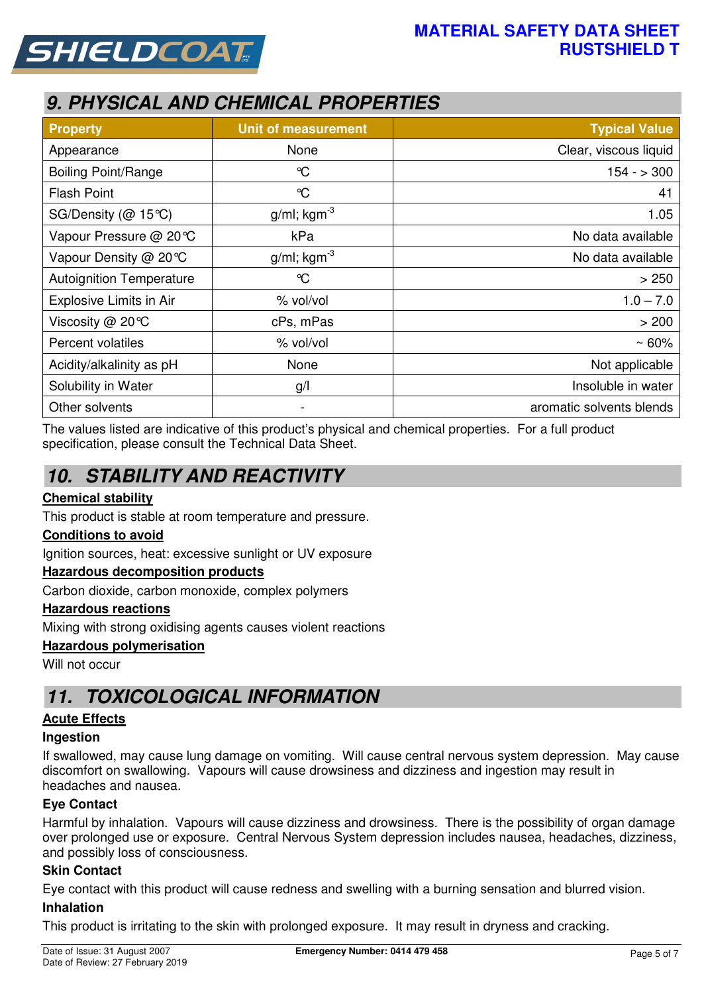



# **9. PHYSICAL AND CHEMICAL PROPERTIES**

| <b>Property</b>                 | <b>Unit of measurement</b> | <b>Typical Value</b>     |
|---------------------------------|----------------------------|--------------------------|
| Appearance                      | None                       | Clear, viscous liquid    |
| <b>Boiling Point/Range</b>      | $\mathrm{C}$               | $154 - 300$              |
| <b>Flash Point</b>              | $\mathrm{C}$               | 41                       |
| SG/Density ( $@$ 15 °C)         | $g/ml$ ; kgm <sup>-3</sup> | 1.05                     |
| Vapour Pressure @ 20℃           | kPa                        | No data available        |
| Vapour Density @ 20 °C          | $g/ml$ ; kgm <sup>-3</sup> | No data available        |
| <b>Autoignition Temperature</b> | $\mathrm{C}$               | > 250                    |
| Explosive Limits in Air         | % vol/vol                  | $1.0 - 7.0$              |
| Viscosity @ 20°C                | cPs, mPas                  | > 200                    |
| Percent volatiles               | % vol/vol                  | $~50\%$                  |
| Acidity/alkalinity as pH        | None                       | Not applicable           |
| Solubility in Water             | g/l                        | Insoluble in water       |
| Other solvents                  | -                          | aromatic solvents blends |

The values listed are indicative of this product's physical and chemical properties. For a full product specification, please consult the Technical Data Sheet.

# **10. STABILITY AND REACTIVITY**

### **Chemical stability**

This product is stable at room temperature and pressure.

### **Conditions to avoid**

Ignition sources, heat: excessive sunlight or UV exposure

### **Hazardous decomposition products**

Carbon dioxide, carbon monoxide, complex polymers

#### **Hazardous reactions**

Mixing with strong oxidising agents causes violent reactions

#### **Hazardous polymerisation**

Will not occur

## **11. TOXICOLOGICAL INFORMATION**

### **Acute Effects**

#### **Ingestion**

If swallowed, may cause lung damage on vomiting. Will cause central nervous system depression. May cause discomfort on swallowing. Vapours will cause drowsiness and dizziness and ingestion may result in headaches and nausea.

### **Eye Contact**

Harmful by inhalation. Vapours will cause dizziness and drowsiness. There is the possibility of organ damage over prolonged use or exposure. Central Nervous System depression includes nausea, headaches, dizziness, and possibly loss of consciousness.

#### **Skin Contact**

Eye contact with this product will cause redness and swelling with a burning sensation and blurred vision.

#### **Inhalation**

This product is irritating to the skin with prolonged exposure. It may result in dryness and cracking.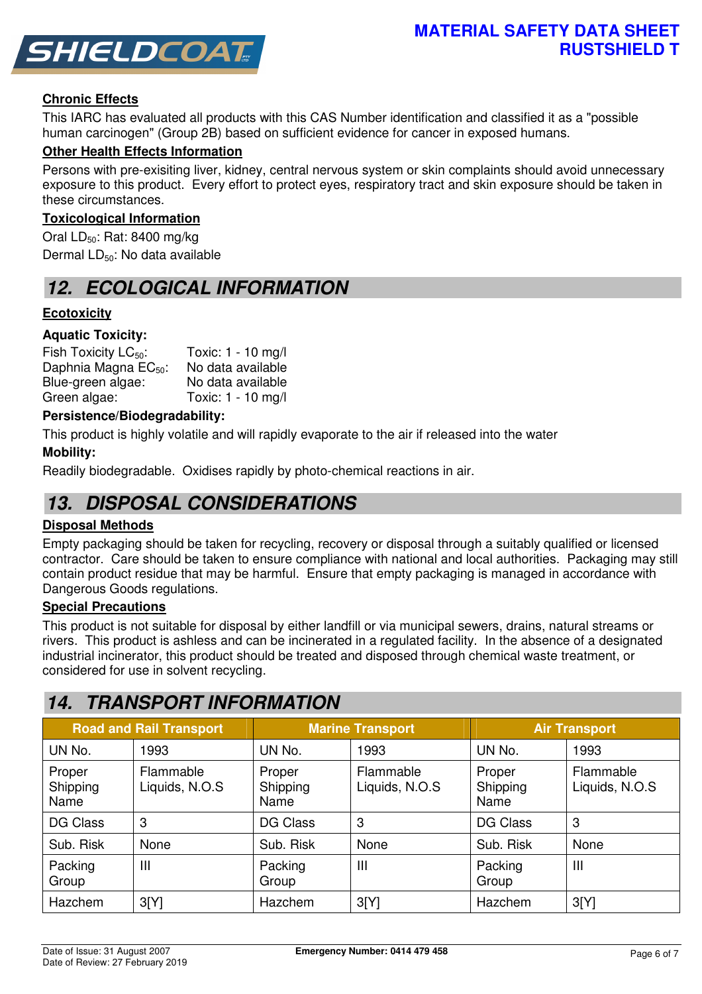

## **Chronic Effects**

This IARC has evaluated all products with this CAS Number identification and classified it as a "possible human carcinogen" (Group 2B) based on sufficient evidence for cancer in exposed humans.

#### **Other Health Effects Information**

Persons with pre-exisiting liver, kidney, central nervous system or skin complaints should avoid unnecessary exposure to this product. Every effort to protect eyes, respiratory tract and skin exposure should be taken in these circumstances.

#### **Toxicological Information**

Oral  $LD_{50}$ : Rat: 8400 mg/kg Dermal LD<sub>50</sub>: No data available

## **12. ECOLOGICAL INFORMATION**

### **Ecotoxicity**

#### **Aquatic Toxicity:**

| Fish Toxicity $LC_{50}$ :        | Toxic: 1 - 10 mg/l |
|----------------------------------|--------------------|
| Daphnia Magna EC <sub>50</sub> : | No data available  |
| Blue-green algae:                | No data available  |
| Green algae:                     | Toxic: 1 - 10 mg/l |

#### **Persistence/Biodegradability:**

This product is highly volatile and will rapidly evaporate to the air if released into the water

#### **Mobility:**

Readily biodegradable. Oxidises rapidly by photo-chemical reactions in air.

## **13. DISPOSAL CONSIDERATIONS**

#### **Disposal Methods**

Empty packaging should be taken for recycling, recovery or disposal through a suitably qualified or licensed contractor. Care should be taken to ensure compliance with national and local authorities. Packaging may still contain product residue that may be harmful. Ensure that empty packaging is managed in accordance with Dangerous Goods regulations.

#### **Special Precautions**

This product is not suitable for disposal by either landfill or via municipal sewers, drains, natural streams or rivers. This product is ashless and can be incinerated in a regulated facility. In the absence of a designated industrial incinerator, this product should be treated and disposed through chemical waste treatment, or considered for use in solvent recycling.

## **14. TRANSPORT INFORMATION**

| <b>Road and Rail Transport</b> |                             |                            | <b>Marine Transport</b>     | <b>Air Transport</b>       |                             |
|--------------------------------|-----------------------------|----------------------------|-----------------------------|----------------------------|-----------------------------|
| UN No.                         | 1993                        | UN No.                     | 1993                        | UN No.                     | 1993                        |
| Proper<br>Shipping<br>Name     | Flammable<br>Liquids, N.O.S | Proper<br>Shipping<br>Name | Flammable<br>Liquids, N.O.S | Proper<br>Shipping<br>Name | Flammable<br>Liquids, N.O.S |
| <b>DG Class</b>                | 3                           | <b>DG Class</b>            | 3                           | <b>DG Class</b>            | 3                           |
| Sub. Risk                      | None                        | Sub. Risk                  | None                        | Sub. Risk                  | None                        |
| Packing<br>Group               | Ш                           | Packing<br>Group           | $\mathbf{III}$              | Packing<br>Group           | $\mathbf{III}$              |
| Hazchem                        | 3[Y]                        | Hazchem                    | 3[Y]                        | Hazchem                    | 3[Y]                        |